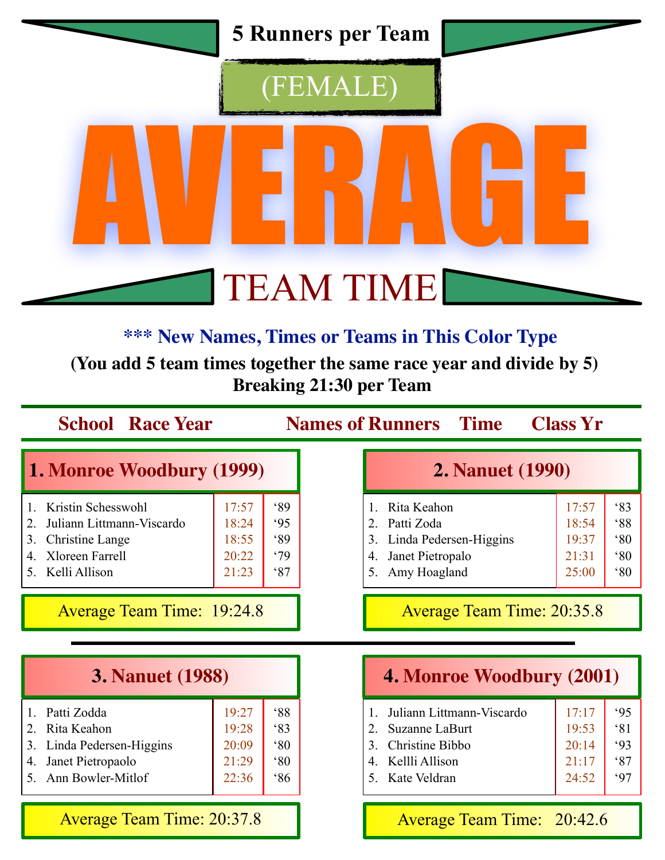

### **\*\*\* New Names, Times or Teams in This Color Type**

 **(You add 5 team times together the same race year and divide by 5) Breaking 21:30 per Team**

| <b>School Race Year</b>                                                                                                                    |                                           |                                                    | <b>Names of Runners</b> Time                                                                                                                          | <b>Class Yr</b>                           |                                                            |
|--------------------------------------------------------------------------------------------------------------------------------------------|-------------------------------------------|----------------------------------------------------|-------------------------------------------------------------------------------------------------------------------------------------------------------|-------------------------------------------|------------------------------------------------------------|
| 1. Monroe Woodbury (1999)                                                                                                                  |                                           |                                                    | <b>2. Nanuet (1990)</b>                                                                                                                               |                                           |                                                            |
| Kristin Schesswohl<br>Juliann Littmann-Viscardo<br>3.<br><b>Christine Lange</b><br><b>Xloreen Farrell</b><br>4<br>Kelli Allison<br>$5_{-}$ | 17:57<br>18:24<br>18:55<br>20:22<br>21:23 | 89<br>95<br>89<br>.79<br>87                        | Rita Keahon<br>$\mathbf{1}$<br>Patti Zoda<br>2.<br>Linda Pedersen-Higgins<br>3.<br>Janet Pietropalo<br>4.<br>5.<br>Amy Hoagland                       | 17:57<br>18:54<br>19:37<br>21:31<br>25:00 | 83<br>$88^\circ$<br>$80^\circ$<br>$80^\circ$<br>$80^\circ$ |
| <b>Average Team Time: 19:24.8</b><br><b>Average Team Time: 20:35.8</b>                                                                     |                                           |                                                    |                                                                                                                                                       |                                           |                                                            |
| <b>3. Nanuet (1988)</b>                                                                                                                    |                                           |                                                    | 4. Monroe Woodbury (2001)                                                                                                                             |                                           |                                                            |
| Patti Zodda<br>Rita Keahon<br>2<br>Linda Pedersen-Higgins<br>3.<br>Janet Pietropaolo<br>4.<br>Ann Bowler-Mitlof<br>5.                      | 19:27<br>19:28<br>20:09<br>21:29<br>22:36 | $88^\circ$<br>83<br>$80^\circ$<br>$80^\circ$<br>86 | Juliann Littmann-Viscardo<br>$\mathbf{1}$<br>$\overline{2}$ .<br>Suzanne LaBurt<br>Christine Bibbo<br>3.<br>Kellli Allison<br>4<br>Kate Veldran<br>5. | 17:17<br>19:53<br>20:14<br>21:17<br>24:52 | 95<br>81<br>93<br>87<br>97                                 |

Average Team Time: 20:37.8

#### Average Team Time: 20:42.6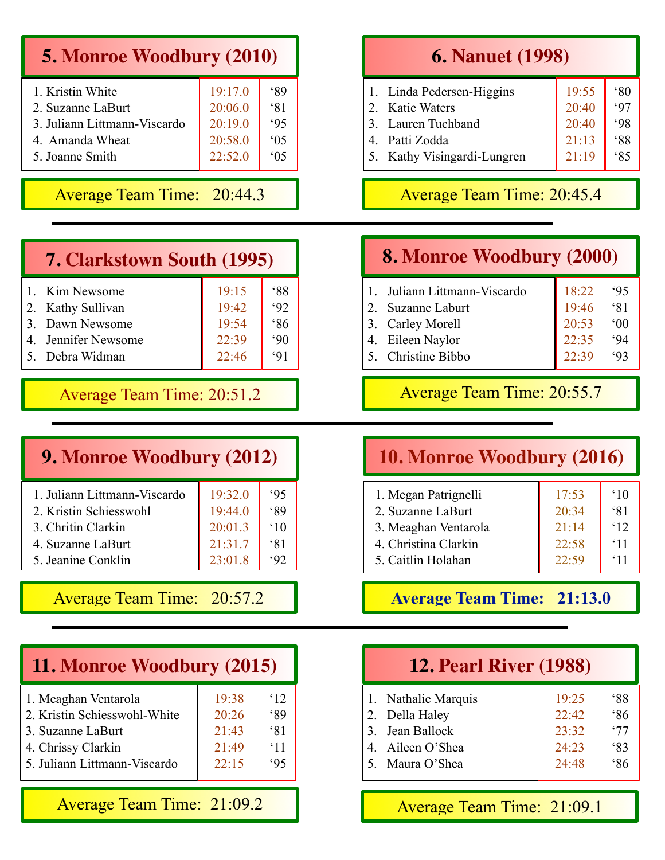| <b>5. Monroe Woodbury (2010)</b> |  |  |  |  |
|----------------------------------|--|--|--|--|
|----------------------------------|--|--|--|--|

| 1. Kristin White             | 19:17.0 | 89             |
|------------------------------|---------|----------------|
| 2. Suzanne LaBurt            | 20:06.0 | 81             |
| 3. Juliann Littmann-Viscardo | 20:19.0 | 95             |
| 4. Amanda Wheat              | 20:58.0 | 05             |
| 5. Joanne Smith              | 22:52.0 | $^{\circ}$ 0.5 |
|                              |         |                |

#### Average Team Time: 20:44.3

| <b>7. Clarkstown South (1995)</b> |       |            |
|-----------------------------------|-------|------------|
| 1. Kim Newsome                    | 19:15 | $88^\circ$ |
| 2. Kathy Sullivan                 | 19:42 | 92         |
| 3. Dawn Newsome                   | 19:54 | 86         |
| 4. Jennifer Newsome               | 22:39 | .90        |
| 5. Debra Widman                   | 22:46 | 91         |
|                                   |       |            |

Average Team Time: 20:51.2

#### **9. Monroe Woodbury (2012)**

| 1. Juliann Littmann-Viscardo | 19:32.0 | 95           |
|------------------------------|---------|--------------|
| 2. Kristin Schiesswohl       | 19:44.0 | 89           |
| 3. Chritin Clarkin           | 20:01.3 | $^{\circ}10$ |
| 4. Suzanne LaBurt            | 21:31.7 | 81           |
| 5. Jeanine Conklin           | 23:01.8 |              |
|                              |         |              |

Average Team Time: 20:57.2

| 11. Monroe Woodbury (2015)                                                                                                      |                                           |                                                |  |
|---------------------------------------------------------------------------------------------------------------------------------|-------------------------------------------|------------------------------------------------|--|
| 1. Meaghan Ventarola<br>2. Kristin Schiesswohl-White<br>3. Suzanne LaBurt<br>4. Chrissy Clarkin<br>5. Juliann Littmann-Viscardo | 19:38<br>20:26<br>21:43<br>21:49<br>22:15 | $^{\circ}12$<br>89<br>81<br>$^{\circ}11$<br>95 |  |
| <b>Average Team Time: 21:09.2</b>                                                                                               |                                           |                                                |  |

#### **6. Nanuet (1998)**

| 1. Linda Pedersen-Higgins   | 19:55 | $80^\circ$ |
|-----------------------------|-------|------------|
| 2. Katie Waters             | 20:40 |            |
| 3. Lauren Tuchband          | 20:40 | .98        |
| 4. Patti Zodda              | 21:13 | $88^\circ$ |
| 5. Kathy Visingardi-Lungren | 21:19 | 85         |
|                             |       |            |

#### Average Team Time: 20:45.4

### **8. Monroe Woodbury (2000)**

| Juliann Littmann-Viscardo | 18:22 | 95           |
|---------------------------|-------|--------------|
| 2. Suzanne Laburt         | 19:46 | 81           |
| 3. Carley Morell          | 20:53 | $^{\circ}00$ |
| 4. Eileen Naylor          | 22:35 | .94          |
| 5. Christine Bibbo        |       | 93           |

#### Average Team Time: 20:55.7

#### **10. Monroe Woodbury (2016)**

| 1. Megan Patrignelli | 17:53 | $^{\circ}10$ |
|----------------------|-------|--------------|
| 2. Suzanne LaBurt    | 20:34 | $\zeta$ 81   |
| 3. Meaghan Ventarola | 21:14 | $^{\circ}12$ |
| 4. Christina Clarkin | 22:58 | $^{\circ}11$ |
| 5. Caitlin Holahan   | 22:59 | $^{\circ}11$ |

**Average Team Time: 21:13.0**

| <b>12. Pearl River (1988)</b> |       |            |  |
|-------------------------------|-------|------------|--|
| 1. Nathalie Marquis           | 19:25 | $88^\circ$ |  |
| 2. Della Haley                | 22:42 | 86         |  |
| 3. Jean Ballock               | 23:32 | .77        |  |
| 4. Aileen O'Shea              | 24:23 | 83         |  |
| 5. Maura O'Shea               | 24:48 | 86         |  |

Average Team Time: 21:09.1